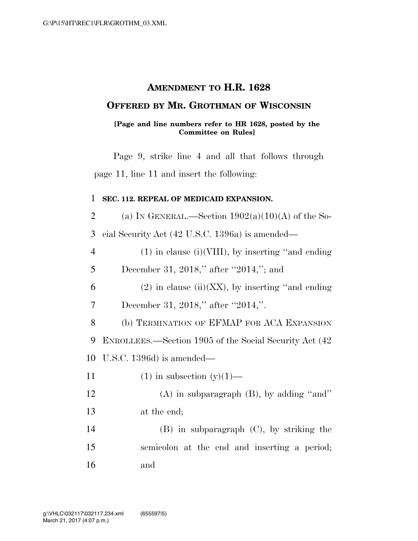## **AMENDMENT TO H.R. 1628**

### **OFFERED BY MR. GROTHMAN OF WISCONSIN**

#### **[Page and line numbers refer to HR 1628, posted by the Committee on Rules]**

Page 9, strike line 4 and all that follows through page 11, line 11 and insert the following:

#### 1 **SEC. 112. REPEAL OF MEDICAID EXPANSION.**

2 (a) IN GENERAL.—Section  $1902(a)(10)(A)$  of the So-3 cial Security Act (42 U.S.C. 1396a) is amended—

4 (1) in clause (i)(VIII), by inserting ''and ending

5 December 31, 2018," after "2014,"; and

6 (2) in clause (ii)(XX), by inserting "and ending" 7 December 31, 2018," after "2014,".

8 (b) TERMINATION OF EFMAP FOR ACA EXPANSION 9 ENROLLEES.—Section 1905 of the Social Security Act (42 10 U.S.C. 1396d) is amended—

11 (1) in subsection  $(y)(1)$ —

12 (A) in subparagraph (B), by adding ''and'' 13 at the end;

14 (B) in subparagraph (C), by striking the 15 semicolon at the end and inserting a period; 16 and